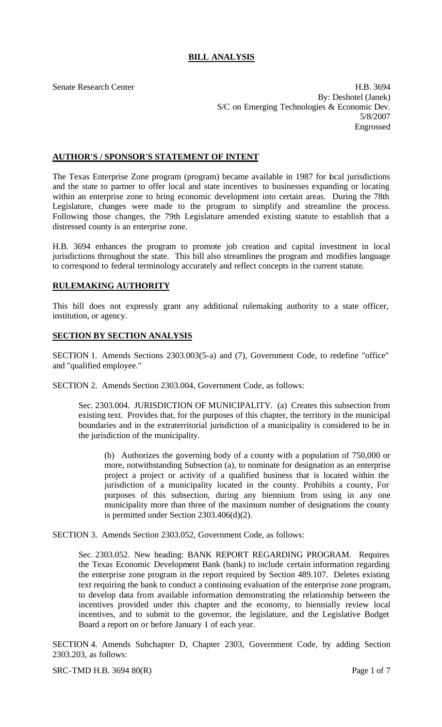# **BILL ANALYSIS**

Senate Research Center **H.B.** 3694 By: Deshotel (Janek) S/C on Emerging Technologies & Economic Dev. 5/8/2007 Engrossed

## **AUTHOR'S / SPONSOR'S STATEMENT OF INTENT**

The Texas Enterprise Zone program (program) became available in 1987 for bcal jurisdictions and the state to partner to offer local and state incentives to businesses expanding or locating within an enterprise zone to bring economic development into certain areas. During the 78th Legislature, changes were made to the program to simplify and streamline the process. Following those changes, the 79th Legislature amended existing statute to establish that a distressed county is an enterprise zone.

H.B. 3694 enhances the program to promote job creation and capital investment in local jurisdictions throughout the state. This bill also streamlines the program and modifies language to correspond to federal terminology accurately and reflect concepts in the current statute.

#### **RULEMAKING AUTHORITY**

This bill does not expressly grant any additional rulemaking authority to a state officer, institution, or agency.

#### **SECTION BY SECTION ANALYSIS**

SECTION 1. Amends Sections 2303.003(5-a) and (7), Government Code, to redefine "office" and "qualified employee."

SECTION 2. Amends Section 2303.004, Government Code, as follows:

Sec. 2303.004. JURISDICTION OF MUNICIPALITY. (a) Creates this subsection from existing text. Provides that, for the purposes of this chapter, the territory in the municipal boundaries and in the extraterritorial jurisdiction of a municipality is considered to be in the jurisdiction of the municipality.

(b) Authorizes the governing body of a county with a population of 750,000 or more, notwithstanding Subsection (a), to nominate for designation as an enterprise project a project or activity of a qualified business that is located within the jurisdiction of a municipality located in the county. Prohibits a county, For purposes of this subsection, during any biennium from using in any one municipality more than three of the maximum number of designations the county is permitted under Section 2303.406(d)(2).

SECTION 3. Amends Section 2303.052, Government Code, as follows:

Sec. 2303.052. New heading: BANK REPORT REGARDING PROGRAM. Requires the Texas Economic Development Bank (bank) to include certain information regarding the enterprise zone program in the report required by Section 489.107. Deletes existing text requiring the bank to conduct a continuing evaluation of the enterprise zone program, to develop data from available information demonstrating the relationship between the incentives provided under this chapter and the economy, to biennially review local incentives, and to submit to the governor, the legislature, and the Legislative Budget Board a report on or before January 1 of each year.

SECTION 4. Amends Subchapter D, Chapter 2303, Government Code, by adding Section 2303.203, as follows:

SRC-TMD H.B. 3694 80(R) Page 1 of 7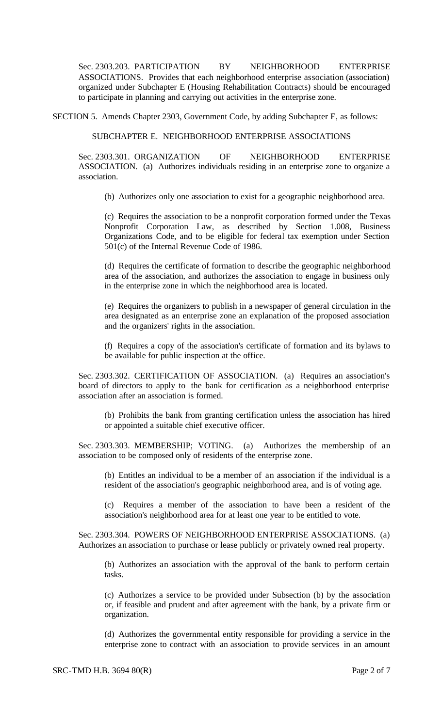Sec. 2303.203. PARTICIPATION BY NEIGHBORHOOD ENTERPRISE ASSOCIATIONS. Provides that each neighborhood enterprise association (association) organized under Subchapter E (Housing Rehabilitation Contracts) should be encouraged to participate in planning and carrying out activities in the enterprise zone.

SECTION 5. Amends Chapter 2303, Government Code, by adding Subchapter E, as follows:

# SUBCHAPTER E. NEIGHBORHOOD ENTERPRISE ASSOCIATIONS

Sec. 2303.301. ORGANIZATION OF NEIGHBORHOOD ENTERPRISE ASSOCIATION. (a) Authorizes individuals residing in an enterprise zone to organize a association.

(b) Authorizes only one association to exist for a geographic neighborhood area.

(c) Requires the association to be a nonprofit corporation formed under the Texas Nonprofit Corporation Law, as described by Section 1.008, Business Organizations Code, and to be eligible for federal tax exemption under Section 501(c) of the Internal Revenue Code of 1986.

(d) Requires the certificate of formation to describe the geographic neighborhood area of the association, and authorizes the association to engage in business only in the enterprise zone in which the neighborhood area is located.

(e) Requires the organizers to publish in a newspaper of general circulation in the area designated as an enterprise zone an explanation of the proposed association and the organizers' rights in the association.

(f) Requires a copy of the association's certificate of formation and its bylaws to be available for public inspection at the office.

Sec. 2303.302. CERTIFICATION OF ASSOCIATION. (a) Requires an association's board of directors to apply to the bank for certification as a neighborhood enterprise association after an association is formed.

(b) Prohibits the bank from granting certification unless the association has hired or appointed a suitable chief executive officer.

Sec. 2303.303. MEMBERSHIP; VOTING. (a) Authorizes the membership of an association to be composed only of residents of the enterprise zone.

(b) Entitles an individual to be a member of an association if the individual is a resident of the association's geographic neighborhood area, and is of voting age.

(c) Requires a member of the association to have been a resident of the association's neighborhood area for at least one year to be entitled to vote.

Sec. 2303.304. POWERS OF NEIGHBORHOOD ENTERPRISE ASSOCIATIONS. (a) Authorizes an association to purchase or lease publicly or privately owned real property.

(b) Authorizes an association with the approval of the bank to perform certain tasks.

(c) Authorizes a service to be provided under Subsection (b) by the association or, if feasible and prudent and after agreement with the bank, by a private firm or organization.

(d) Authorizes the governmental entity responsible for providing a service in the enterprise zone to contract with an association to provide services in an amount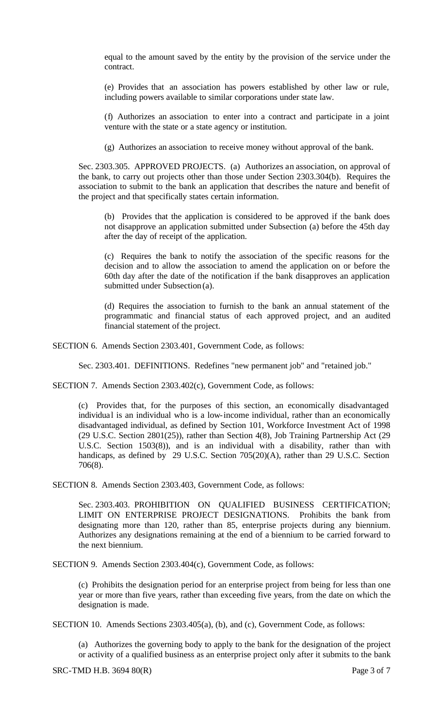equal to the amount saved by the entity by the provision of the service under the contract.

(e) Provides that an association has powers established by other law or rule, including powers available to similar corporations under state law.

(f) Authorizes an association to enter into a contract and participate in a joint venture with the state or a state agency or institution.

(g) Authorizes an association to receive money without approval of the bank.

Sec. 2303.305. APPROVED PROJECTS. (a) Authorizes an association, on approval of the bank, to carry out projects other than those under Section 2303.304(b). Requires the association to submit to the bank an application that describes the nature and benefit of the project and that specifically states certain information.

(b) Provides that the application is considered to be approved if the bank does not disapprove an application submitted under Subsection (a) before the 45th day after the day of receipt of the application.

(c) Requires the bank to notify the association of the specific reasons for the decision and to allow the association to amend the application on or before the 60th day after the date of the notification if the bank disapproves an application submitted under Subsection (a).

(d) Requires the association to furnish to the bank an annual statement of the programmatic and financial status of each approved project, and an audited financial statement of the project.

SECTION 6. Amends Section 2303.401, Government Code, as follows:

Sec. 2303.401. DEFINITIONS. Redefines "new permanent job" and "retained job."

SECTION 7. Amends Section 2303.402(c), Government Code, as follows:

(c) Provides that, for the purposes of this section, an economically disadvantaged individual is an individual who is a low-income individual, rather than an economically disadvantaged individual, as defined by Section 101, Workforce Investment Act of 1998 (29 U.S.C. Section 2801(25)), rather than Section 4(8), Job Training Partnership Act (29 U.S.C. Section 1503(8)), and is an individual with a disability, rather than with handicaps, as defined by 29 U.S.C. Section 705(20)(A), rather than 29 U.S.C. Section 706(8).

SECTION 8. Amends Section 2303.403, Government Code, as follows:

Sec. 2303.403. PROHIBITION ON QUALIFIED BUSINESS CERTIFICATION; LIMIT ON ENTERPRISE PROJECT DESIGNATIONS. Prohibits the bank from designating more than 120, rather than 85, enterprise projects during any biennium. Authorizes any designations remaining at the end of a biennium to be carried forward to the next biennium.

SECTION 9. Amends Section 2303.404(c), Government Code, as follows:

(c) Prohibits the designation period for an enterprise project from being for less than one year or more than five years, rather than exceeding five years, from the date on which the designation is made.

SECTION 10. Amends Sections 2303.405(a), (b), and (c), Government Code, as follows:

(a) Authorizes the governing body to apply to the bank for the designation of the project or activity of a qualified business as an enterprise project only after it submits to the bank

SRC-TMD H.B. 3694 80(R) Page 3 of 7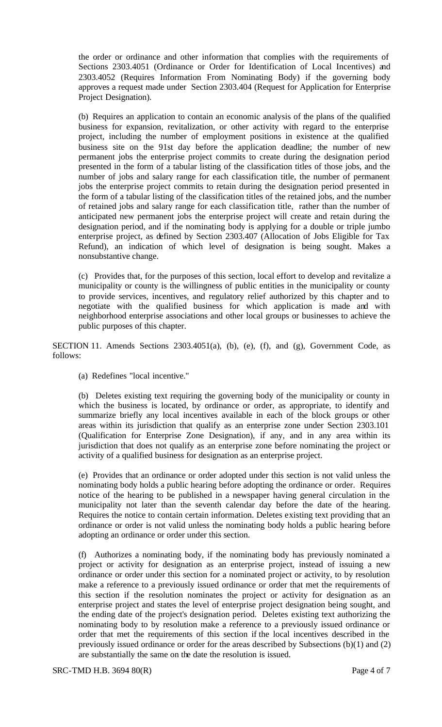the order or ordinance and other information that complies with the requirements of Sections 2303.4051 (Ordinance or Order for Identification of Local Incentives) and 2303.4052 (Requires Information From Nominating Body) if the governing body approves a request made under Section 2303.404 (Request for Application for Enterprise Project Designation).

(b) Requires an application to contain an economic analysis of the plans of the qualified business for expansion, revitalization, or other activity with regard to the enterprise project, including the number of employment positions in existence at the qualified business site on the 91st day before the application deadline; the number of new permanent jobs the enterprise project commits to create during the designation period presented in the form of a tabular listing of the classification titles of those jobs, and the number of jobs and salary range for each classification title, the number of permanent jobs the enterprise project commits to retain during the designation period presented in the form of a tabular listing of the classification titles of the retained jobs, and the number of retained jobs and salary range for each classification title, rather than the number of anticipated new permanent jobs the enterprise project will create and retain during the designation period, and if the nominating body is applying for a double or triple jumbo enterprise project, as defined by Section 2303.407 (Allocation of Jobs Eligible for Tax Refund), an indication of which level of designation is being sought. Makes a nonsubstantive change.

(c) Provides that, for the purposes of this section, local effort to develop and revitalize a municipality or county is the willingness of public entities in the municipality or county to provide services, incentives, and regulatory relief authorized by this chapter and to negotiate with the qualified business for which application is made and with neighborhood enterprise associations and other local groups or businesses to achieve the public purposes of this chapter.

SECTION 11. Amends Sections 2303.4051(a), (b), (e), (f), and (g), Government Code, as follows:

(a) Redefines "local incentive."

(b) Deletes existing text requiring the governing body of the municipality or county in which the business is located, by ordinance or order, as appropriate, to identify and summarize briefly any local incentives available in each of the block groups or other areas within its jurisdiction that qualify as an enterprise zone under Section 2303.101 (Qualification for Enterprise Zone Designation), if any, and in any area within its jurisdiction that does not qualify as an enterprise zone before nominating the project or activity of a qualified business for designation as an enterprise project.

(e) Provides that an ordinance or order adopted under this section is not valid unless the nominating body holds a public hearing before adopting the ordinance or order. Requires notice of the hearing to be published in a newspaper having general circulation in the municipality not later than the seventh calendar day before the date of the hearing. Requires the notice to contain certain information. Deletes existing text providing that an ordinance or order is not valid unless the nominating body holds a public hearing before adopting an ordinance or order under this section.

(f) Authorizes a nominating body, if the nominating body has previously nominated a project or activity for designation as an enterprise project, instead of issuing a new ordinance or order under this section for a nominated project or activity, to by resolution make a reference to a previously issued ordinance or order that met the requirements of this section if the resolution nominates the project or activity for designation as an enterprise project and states the level of enterprise project designation being sought, and the ending date of the project's designation period. Deletes existing text authorizing the nominating body to by resolution make a reference to a previously issued ordinance or order that met the requirements of this section if the local incentives described in the previously issued ordinance or order for the areas described by Subsections (b)(1) and (2) are substantially the same on the date the resolution is issued.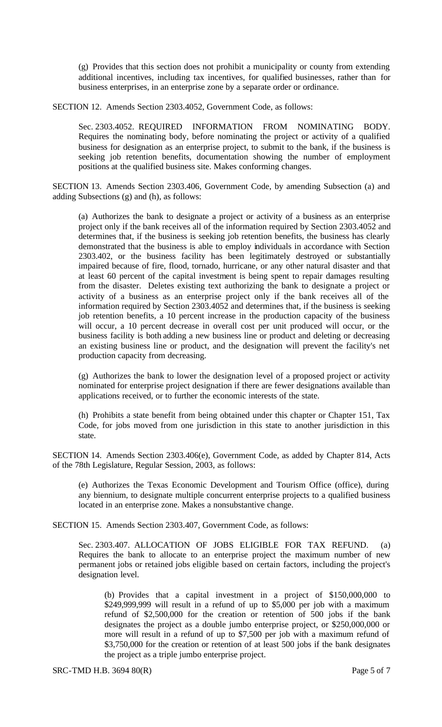(g) Provides that this section does not prohibit a municipality or county from extending additional incentives, including tax incentives, for qualified businesses, rather than for business enterprises, in an enterprise zone by a separate order or ordinance.

SECTION 12. Amends Section 2303.4052, Government Code, as follows:

Sec. 2303.4052. REQUIRED INFORMATION FROM NOMINATING BODY. Requires the nominating body, before nominating the project or activity of a qualified business for designation as an enterprise project, to submit to the bank, if the business is seeking job retention benefits, documentation showing the number of employment positions at the qualified business site. Makes conforming changes.

SECTION 13. Amends Section 2303.406, Government Code, by amending Subsection (a) and adding Subsections (g) and (h), as follows:

(a) Authorizes the bank to designate a project or activity of a business as an enterprise project only if the bank receives all of the information required by Section 2303.4052 and determines that, if the business is seeking job retention benefits, the business has clearly demonstrated that the business is able to employ individuals in accordance with Section 2303.402, or the business facility has been legitimately destroyed or substantially impaired because of fire, flood, tornado, hurricane, or any other natural disaster and that at least 60 percent of the capital investment is being spent to repair damages resulting from the disaster. Deletes existing text authorizing the bank to designate a project or activity of a business as an enterprise project only if the bank receives all of the information required by Section 2303.4052 and determines that, if the business is seeking job retention benefits, a 10 percent increase in the production capacity of the business will occur, a 10 percent decrease in overall cost per unit produced will occur, or the business facility is both adding a new business line or product and deleting or decreasing an existing business line or product, and the designation will prevent the facility's net production capacity from decreasing.

(g) Authorizes the bank to lower the designation level of a proposed project or activity nominated for enterprise project designation if there are fewer designations available than applications received, or to further the economic interests of the state.

(h) Prohibits a state benefit from being obtained under this chapter or Chapter 151, Tax Code, for jobs moved from one jurisdiction in this state to another jurisdiction in this state.

SECTION 14. Amends Section 2303.406(e), Government Code, as added by Chapter 814, Acts of the 78th Legislature, Regular Session, 2003, as follows:

(e) Authorizes the Texas Economic Development and Tourism Office (office), during any biennium, to designate multiple concurrent enterprise projects to a qualified business located in an enterprise zone. Makes a nonsubstantive change.

SECTION 15. Amends Section 2303.407, Government Code, as follows:

Sec. 2303.407. ALLOCATION OF JOBS ELIGIBLE FOR TAX REFUND. (a) Requires the bank to allocate to an enterprise project the maximum number of new permanent jobs or retained jobs eligible based on certain factors, including the project's designation level.

(b) Provides that a capital investment in a project of \$150,000,000 to  $$249,999,999$  will result in a refund of up to  $$5,000$  per job with a maximum refund of \$2,500,000 for the creation or retention of 500 jobs if the bank designates the project as a double jumbo enterprise project, or \$250,000,000 or more will result in a refund of up to \$7,500 per job with a maximum refund of \$3,750,000 for the creation or retention of at least 500 jobs if the bank designates the project as a triple jumbo enterprise project.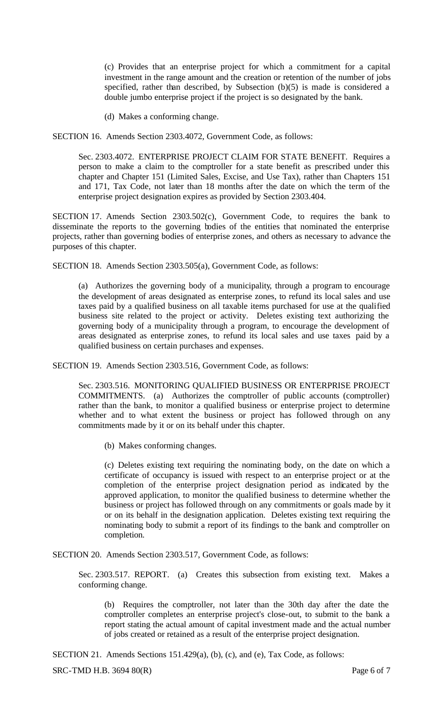(c) Provides that an enterprise project for which a commitment for a capital investment in the range amount and the creation or retention of the number of jobs specified, rather than described, by Subsection (b)(5) is made is considered a double jumbo enterprise project if the project is so designated by the bank.

(d) Makes a conforming change.

SECTION 16. Amends Section 2303.4072, Government Code, as follows:

Sec. 2303.4072. ENTERPRISE PROJECT CLAIM FOR STATE BENEFIT. Requires a person to make a claim to the comptroller for a state benefit as prescribed under this chapter and Chapter 151 (Limited Sales, Excise, and Use Tax), rather than Chapters 151 and 171, Tax Code, not later than 18 months after the date on which the term of the enterprise project designation expires as provided by Section 2303.404.

SECTION 17. Amends Section 2303.502(c), Government Code, to requires the bank to disseminate the reports to the governing bodies of the entities that nominated the enterprise projects, rather than governing bodies of enterprise zones, and others as necessary to advance the purposes of this chapter.

SECTION 18. Amends Section 2303.505(a), Government Code, as follows:

(a) Authorizes the governing body of a municipality, through a program to encourage the development of areas designated as enterprise zones, to refund its local sales and use taxes paid by a qualified business on all taxable items purchased for use at the qualified business site related to the project or activity. Deletes existing text authorizing the governing body of a municipality through a program, to encourage the development of areas designated as enterprise zones, to refund its local sales and use taxes paid by a qualified business on certain purchases and expenses.

SECTION 19. Amends Section 2303.516, Government Code, as follows:

Sec. 2303.516. MONITORING QUALIFIED BUSINESS OR ENTERPRISE PROJECT COMMITMENTS. (a) Authorizes the comptroller of public accounts (comptroller) rather than the bank, to monitor a qualified business or enterprise project to determine whether and to what extent the business or project has followed through on any commitments made by it or on its behalf under this chapter.

(b) Makes conforming changes.

(c) Deletes existing text requiring the nominating body, on the date on which a certificate of occupancy is issued with respect to an enterprise project or at the completion of the enterprise project designation period as indicated by the approved application, to monitor the qualified business to determine whether the business or project has followed through on any commitments or goals made by it or on its behalf in the designation application. Deletes existing text requiring the nominating body to submit a report of its findings to the bank and comptroller on completion.

SECTION 20. Amends Section 2303.517, Government Code, as follows:

Sec. 2303.517. REPORT. (a) Creates this subsection from existing text. Makes a conforming change.

(b) Requires the comptroller, not later than the 30th day after the date the comptroller completes an enterprise project's close-out, to submit to the bank a report stating the actual amount of capital investment made and the actual number of jobs created or retained as a result of the enterprise project designation.

SECTION 21. Amends Sections 151.429(a), (b), (c), and (e), Tax Code, as follows:

SRC-TMD H.B. 3694 80(R) Page 6 of 7